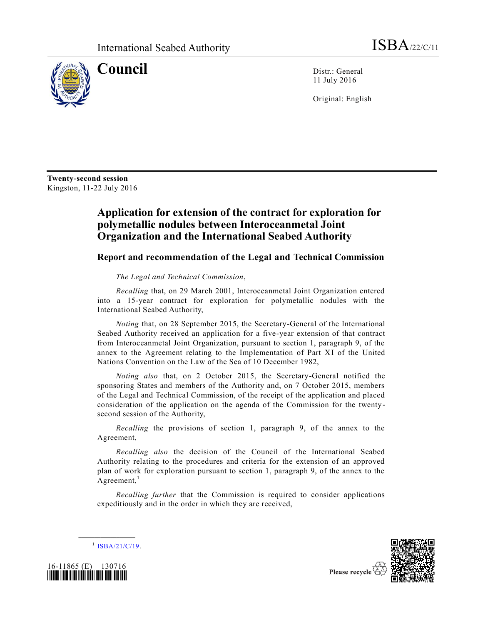

**Council** Distr.: General 11 July 2016

Original: English

**Twenty-second session** Kingston, 11-22 July 2016

## **Application for extension of the contract for exploration for polymetallic nodules between Interoceanmetal Joint Organization and the International Seabed Authority**

## **Report and recommendation of the Legal and Technical Commission**

*The Legal and Technical Commission*,

*Recalling* that, on 29 March 2001, Interoceanmetal Joint Organization entered into a 15-year contract for exploration for polymetallic nodules with the International Seabed Authority,

*Noting* that, on 28 September 2015, the Secretary-General of the International Seabed Authority received an application for a five-year extension of that contract from Interoceanmetal Joint Organization, pursuant to section 1, paragraph 9, of the annex to the Agreement relating to the Implementation of Part XI of the United Nations Convention on the Law of the Sea of 10 December 1982,

*Noting also* that, on 2 October 2015, the Secretary-General notified the sponsoring States and members of the Authority and, on 7 October 2015, members of the Legal and Technical Commission, of the receipt of the application and placed consideration of the application on the agenda of the Commission for the twentysecond session of the Authority,

*Recalling* the provisions of section 1, paragraph 9, of the annex to the Agreement,

*Recalling also* the decision of the Council of the International Seabed Authority relating to the procedures and criteria for the extension of an approved plan of work for exploration pursuant to section 1, paragraph 9, of the annex to the Agreement, $<sup>1</sup>$ </sup>

*Recalling further* that the Commission is required to consider applications expeditiously and in the order in which they are received,



**\_\_\_\_\_\_\_\_\_\_\_\_\_\_\_\_\_\_**